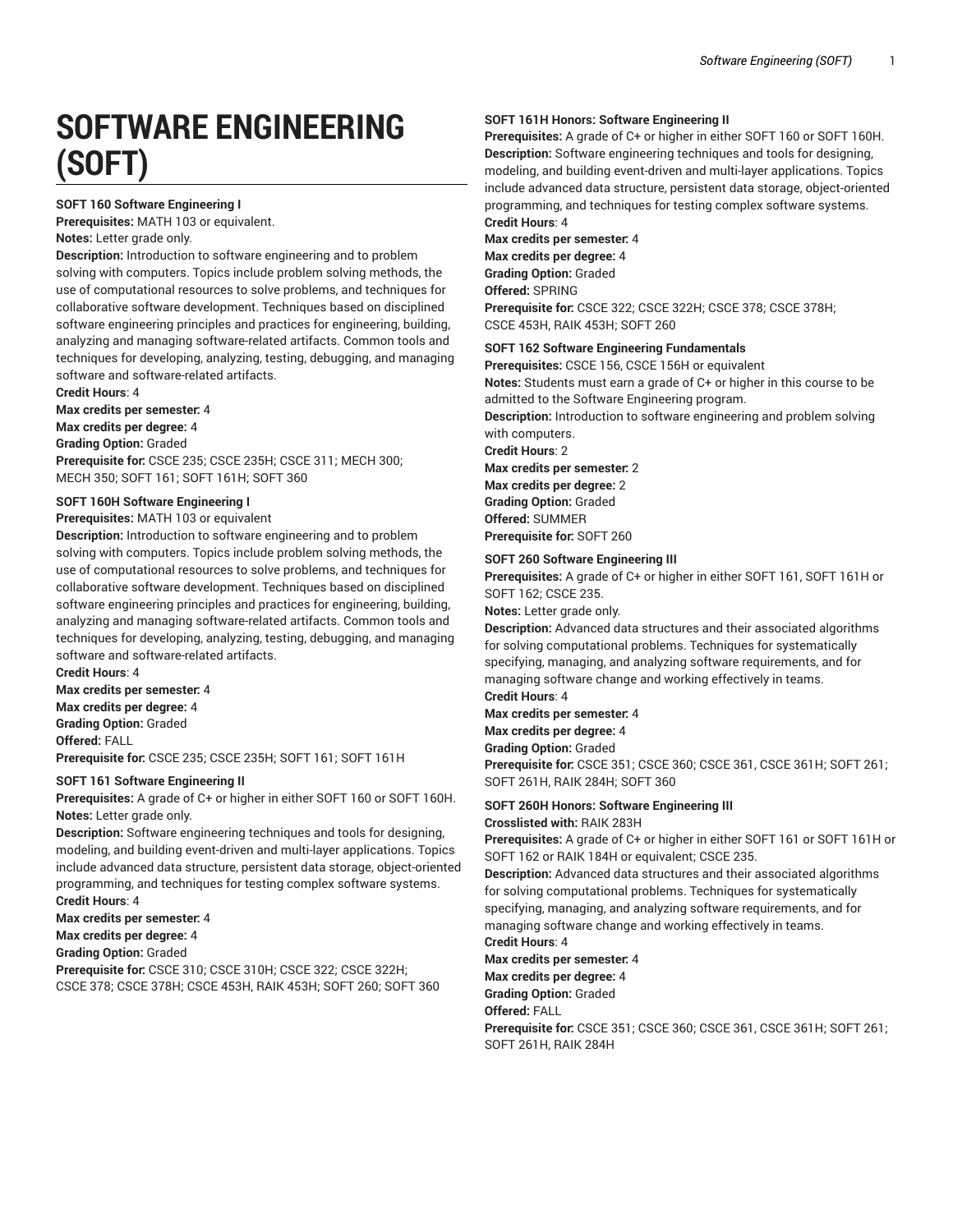# **SOFTWARE ENGINEERING (SOFT)**

#### **SOFT 160 Software Engineering I**

**Prerequisites:** MATH 103 or equivalent.

**Notes:** Letter grade only.

**Description:** Introduction to software engineering and to problem solving with computers. Topics include problem solving methods, the use of computational resources to solve problems, and techniques for collaborative software development. Techniques based on disciplined software engineering principles and practices for engineering, building, analyzing and managing software-related artifacts. Common tools and techniques for developing, analyzing, testing, debugging, and managing software and software-related artifacts.

**Credit Hours**: 4

**Max credits per semester:** 4

**Max credits per degree:** 4

**Grading Option:** Graded **Prerequisite for:** CSCE 235; CSCE 235H; CSCE 311; MECH 300; MECH 350; SOFT 161; SOFT 161H; SOFT 360

#### **SOFT 160H Software Engineering I**

**Prerequisites:** MATH 103 or equivalent

**Description:** Introduction to software engineering and to problem solving with computers. Topics include problem solving methods, the use of computational resources to solve problems, and techniques for collaborative software development. Techniques based on disciplined software engineering principles and practices for engineering, building, analyzing and managing software-related artifacts. Common tools and techniques for developing, analyzing, testing, debugging, and managing software and software-related artifacts.

**Credit Hours**: 4 **Max credits per semester:** 4 **Max credits per degree:** 4 **Grading Option:** Graded

**Offered:** FALL

**Prerequisite for:** CSCE 235; CSCE 235H; SOFT 161; SOFT 161H

#### **SOFT 161 Software Engineering II**

**Prerequisites:** A grade of C+ or higher in either SOFT 160 or SOFT 160H. **Notes:** Letter grade only.

**Description:** Software engineering techniques and tools for designing, modeling, and building event-driven and multi-layer applications. Topics include advanced data structure, persistent data storage, object-oriented programming, and techniques for testing complex software systems. **Credit Hours**: 4

**Max credits per semester:** 4

**Max credits per degree:** 4

**Grading Option:** Graded

**Prerequisite for:** CSCE 310; CSCE 310H; CSCE 322; CSCE 322H; CSCE 378; CSCE 378H; CSCE 453H, RAIK 453H; SOFT 260; SOFT 360

### **SOFT 161H Honors: Software Engineering II**

**Prerequisites:** A grade of C+ or higher in either SOFT 160 or SOFT 160H. **Description:** Software engineering techniques and tools for designing, modeling, and building event-driven and multi-layer applications. Topics include advanced data structure, persistent data storage, object-oriented programming, and techniques for testing complex software systems. **Credit Hours**: 4

**Max credits per semester:** 4 **Max credits per degree:** 4 **Grading Option:** Graded **Offered:** SPRING

**Prerequisite for:** CSCE 322; CSCE 322H; CSCE 378; CSCE 378H; CSCE 453H, RAIK 453H; SOFT 260

#### **SOFT 162 Software Engineering Fundamentals**

**Prerequisites:** CSCE 156, CSCE 156H or equivalent

**Notes:** Students must earn a grade of C+ or higher in this course to be admitted to the Software Engineering program.

**Description:** Introduction to software engineering and problem solving with computers.

**Credit Hours**: 2

**Max credits per semester:** 2 **Max credits per degree:** 2 **Grading Option:** Graded **Offered:** SUMMER

**Prerequisite for:** SOFT 260

# **SOFT 260 Software Engineering III**

**Prerequisites:** A grade of C+ or higher in either SOFT 161, SOFT 161H or SOFT 162; CSCE 235.

**Notes:** Letter grade only.

**Description:** Advanced data structures and their associated algorithms for solving computational problems. Techniques for systematically specifying, managing, and analyzing software requirements, and for managing software change and working effectively in teams. **Credit Hours**: 4

**Max credits per semester:** 4

**Max credits per degree:** 4

**Grading Option:** Graded

**Prerequisite for:** CSCE 351; CSCE 360; CSCE 361, CSCE 361H; SOFT 261; SOFT 261H, RAIK 284H; SOFT 360

#### **SOFT 260H Honors: Software Engineering III**

**Crosslisted with:** RAIK 283H

**Prerequisites:** A grade of C+ or higher in either SOFT 161 or SOFT 161H or SOFT 162 or RAIK 184H or equivalent; CSCE 235.

**Description:** Advanced data structures and their associated algorithms for solving computational problems. Techniques for systematically specifying, managing, and analyzing software requirements, and for managing software change and working effectively in teams. **Credit Hours**: 4

**Max credits per semester:** 4

**Max credits per degree:** 4

**Grading Option:** Graded

**Offered:** FALL

**Prerequisite for:** CSCE 351; CSCE 360; CSCE 361, CSCE 361H; SOFT 261; SOFT 261H, RAIK 284H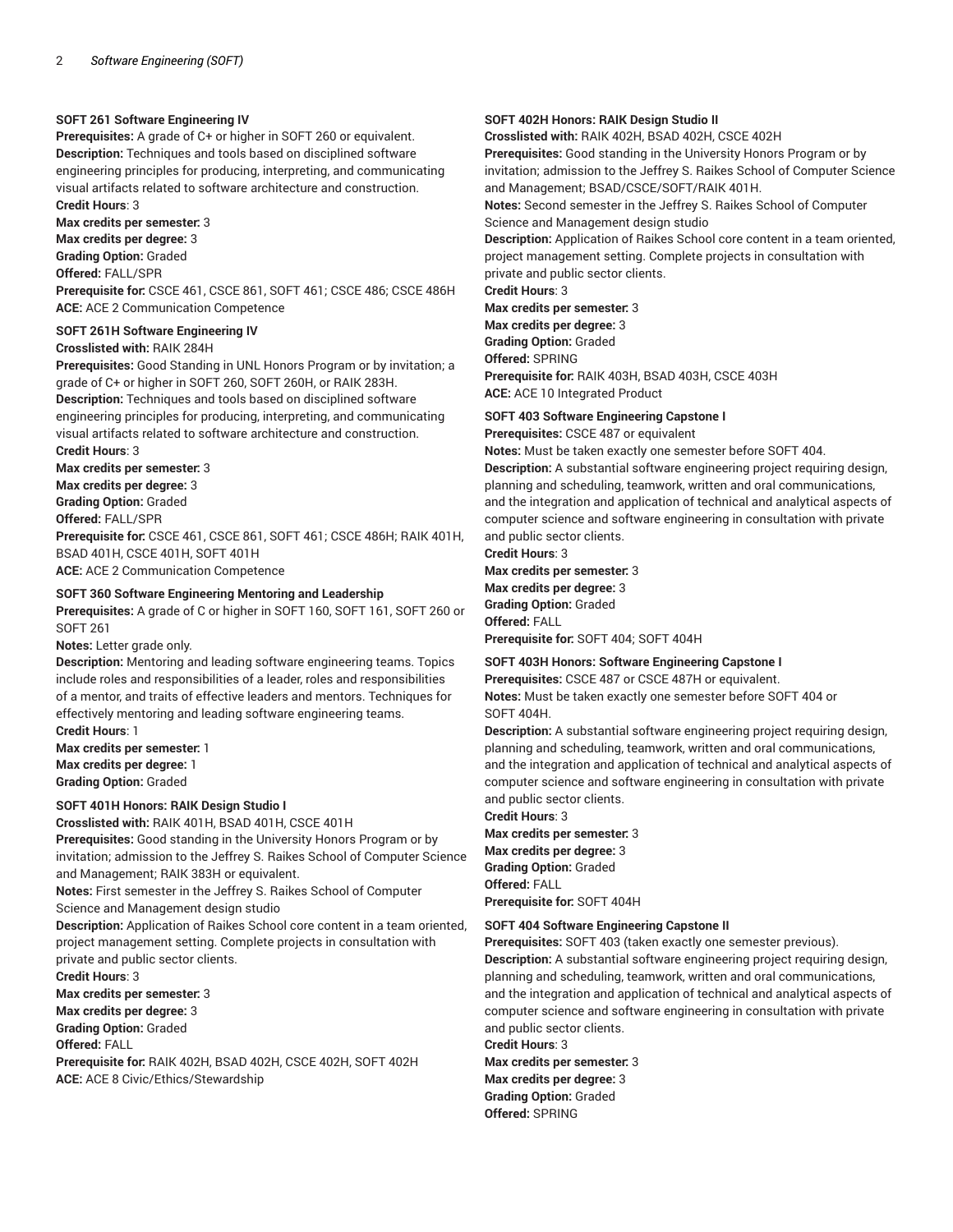#### **SOFT 261 Software Engineering IV**

**Prerequisites:** A grade of C+ or higher in SOFT 260 or equivalent. **Description:** Techniques and tools based on disciplined software engineering principles for producing, interpreting, and communicating visual artifacts related to software architecture and construction. **Credit Hours**: 3

**Max credits per semester:** 3

**Max credits per degree:** 3

**Grading Option:** Graded

**Offered:** FALL/SPR

**Prerequisite for:** CSCE 461, CSCE 861, SOFT 461; CSCE 486; CSCE 486H **ACE:** ACE 2 Communication Competence

#### **SOFT 261H Software Engineering IV Crosslisted with:** RAIK 284H

**Prerequisites:** Good Standing in UNL Honors Program or by invitation; a grade of C+ or higher in SOFT 260, SOFT 260H, or RAIK 283H. **Description:** Techniques and tools based on disciplined software engineering principles for producing, interpreting, and communicating visual artifacts related to software architecture and construction. **Credit Hours**: 3

**Max credits per semester:** 3 **Max credits per degree:** 3 **Grading Option:** Graded **Offered:** FALL/SPR **Prerequisite for:** CSCE 461, CSCE 861, SOFT 461; CSCE 486H; RAIK 401H, BSAD 401H, CSCE 401H, SOFT 401H

**ACE:** ACE 2 Communication Competence

#### **SOFT 360 Software Engineering Mentoring and Leadership**

**Prerequisites:** A grade of C or higher in SOFT 160, SOFT 161, SOFT 260 or SOFT 261

**Notes:** Letter grade only.

**Description:** Mentoring and leading software engineering teams. Topics include roles and responsibilities of a leader, roles and responsibilities of a mentor, and traits of effective leaders and mentors. Techniques for effectively mentoring and leading software engineering teams. **Credit Hours**: 1

**Max credits per semester:** 1 **Max credits per degree:** 1

**Grading Option:** Graded

# **SOFT 401H Honors: RAIK Design Studio I**

**Crosslisted with:** RAIK 401H, BSAD 401H, CSCE 401H

**Prerequisites:** Good standing in the University Honors Program or by invitation; admission to the Jeffrey S. Raikes School of Computer Science and Management; RAIK 383H or equivalent.

**Notes:** First semester in the Jeffrey S. Raikes School of Computer Science and Management design studio

**Description:** Application of Raikes School core content in a team oriented, project management setting. Complete projects in consultation with private and public sector clients.

**Credit Hours**: 3

**Max credits per semester:** 3

**Max credits per degree:** 3

**Grading Option:** Graded

**Offered:** FALL

**Prerequisite for:** RAIK 402H, BSAD 402H, CSCE 402H, SOFT 402H **ACE:** ACE 8 Civic/Ethics/Stewardship

#### **SOFT 402H Honors: RAIK Design Studio II**

**Crosslisted with:** RAIK 402H, BSAD 402H, CSCE 402H

**Prerequisites:** Good standing in the University Honors Program or by invitation; admission to the Jeffrey S. Raikes School of Computer Science and Management; BSAD/CSCE/SOFT/RAIK 401H.

**Notes:** Second semester in the Jeffrey S. Raikes School of Computer Science and Management design studio

**Description:** Application of Raikes School core content in a team oriented, project management setting. Complete projects in consultation with private and public sector clients.

**Credit Hours**: 3

**Max credits per semester:** 3 **Max credits per degree:** 3 **Grading Option:** Graded **Offered:** SPRING **Prerequisite for:** RAIK 403H, BSAD 403H, CSCE 403H **ACE:** ACE 10 Integrated Product

#### **SOFT 403 Software Engineering Capstone I**

**Prerequisites:** CSCE 487 or equivalent

**Notes:** Must be taken exactly one semester before SOFT 404. **Description:** A substantial software engineering project requiring design, planning and scheduling, teamwork, written and oral communications, and the integration and application of technical and analytical aspects of computer science and software engineering in consultation with private and public sector clients.

**Credit Hours**: 3 **Max credits per semester:** 3 **Max credits per degree:** 3 **Grading Option:** Graded **Offered:** FALL **Prerequisite for:** SOFT 404; SOFT 404H

# **SOFT 403H Honors: Software Engineering Capstone I**

**Prerequisites:** CSCE 487 or CSCE 487H or equivalent. **Notes:** Must be taken exactly one semester before SOFT 404 or

SOFT 404H.

**Description:** A substantial software engineering project requiring design, planning and scheduling, teamwork, written and oral communications, and the integration and application of technical and analytical aspects of computer science and software engineering in consultation with private and public sector clients.

**Credit Hours**: 3 **Max credits per semester:** 3 **Max credits per degree:** 3 **Grading Option:** Graded **Offered:** FALL **Prerequisite for:** SOFT 404H

#### **SOFT 404 Software Engineering Capstone II**

**Prerequisites:** SOFT 403 (taken exactly one semester previous). **Description:** A substantial software engineering project requiring design, planning and scheduling, teamwork, written and oral communications, and the integration and application of technical and analytical aspects of computer science and software engineering in consultation with private and public sector clients.

**Credit Hours**: 3 **Max credits per semester:** 3 **Max credits per degree:** 3 **Grading Option:** Graded **Offered:** SPRING